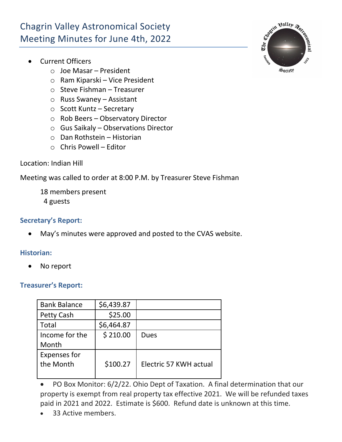# Chagrin Valley Astronomical Society Meeting Minutes for June 4th, 2022

- Current Officers
	- o Joe Masar President
	- o Ram Kiparski Vice President
	- o Steve Fishman Treasurer
	- o Russ Swaney Assistant
	- o Scott Kuntz Secretary
	- o Rob Beers Observatory Director
	- o Gus Saikaly Observations Director
	- o Dan Rothstein Historian
	- $\circ$  Chris Powell Editor

## Location: Indian Hill

Meeting was called to order at 8:00 P.M. by Treasurer Steve Fishman

- 18 members present
- 4 guests

## **Secretary's Report:**

• May's minutes were approved and posted to the CVAS website.

#### **Historian:**

• No report

# **Treasurer's Report:**

| <b>Bank Balance</b> | \$6,439.87 |                        |
|---------------------|------------|------------------------|
| <b>Petty Cash</b>   | \$25.00    |                        |
| <b>Total</b>        | \$6,464.87 |                        |
| Income for the      | \$210.00   | Dues                   |
| Month               |            |                        |
| <b>Expenses for</b> |            |                        |
| the Month           | \$100.27   | Electric 57 KWH actual |
|                     |            |                        |

• PO Box Monitor: 6/2/22. Ohio Dept of Taxation. A final determination that our property is exempt from real property tax effective 2021. We will be refunded taxes paid in 2021 and 2022. Estimate is \$600. Refund date is unknown at this time.

33 Active members.

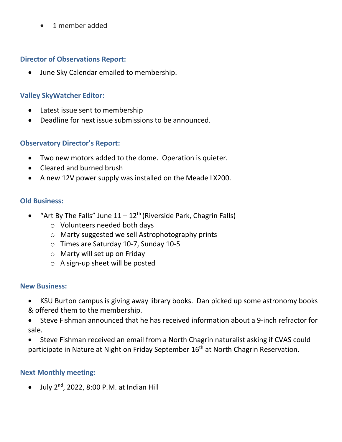• 1 member added

#### **Director of Observations Report:**

• June Sky Calendar emailed to membership.

## **Valley SkyWatcher Editor:**

- Latest issue sent to membership
- Deadline for next issue submissions to be announced.

#### **Observatory Director's Report:**

- Two new motors added to the dome. Operation is quieter.
- Cleared and burned brush
- A new 12V power supply was installed on the Meade LX200.

#### **Old Business:**

- "Art By The Falls" June  $11 12$ <sup>th</sup> (Riverside Park, Chagrin Falls)
	- o Volunteers needed both days
	- o Marty suggested we sell Astrophotography prints
	- o Times are Saturday 10-7, Sunday 10-5
	- o Marty will set up on Friday
	- o A sign-up sheet will be posted

#### **New Business:**

- KSU Burton campus is giving away library books. Dan picked up some astronomy books & offered them to the membership.
- Steve Fishman announced that he has received information about a 9-inch refractor for sale.
- Steve Fishman received an email from a North Chagrin naturalist asking if CVAS could participate in Nature at Night on Friday September 16<sup>th</sup> at North Chagrin Reservation.

# **Next Monthly meeting:**

 $\bullet$  July 2<sup>nd</sup>, 2022, 8:00 P.M. at Indian Hill